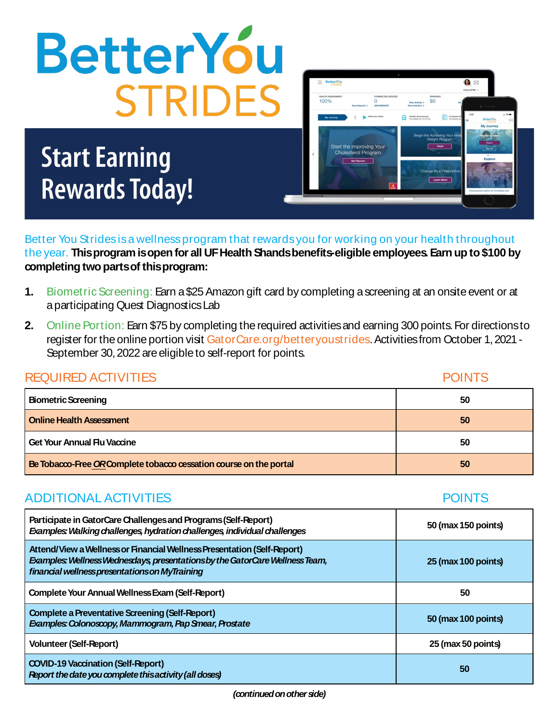

# **Start Earning Rewards Today!**



**POINTS** 

**POINTS** 

Better You Strides is a wellness program that rewards you for working on your health throughout the year. This program is open for all UF Health Shands benefits-eligible employees. Earn up to \$100 by completing two parts of this program:

- $1.$ Biometric Screening: Earn a \$25 Amazon gift card by completing a screening at an onsite event or at a participating Quest Diagnostics Lab
- $2<sub>1</sub>$ Online Portion: Earn \$75 by completing the required activities and earning 300 points. For directions to register for the online portion visit GatorCare.org/betteryoustrides. Activities from October 1, 2021 -September 30, 2022 are eligible to self-report for points.

### **REQUIRED ACTIVITIES**

| <b>Biometric Screening</b>                                        | 50 |
|-------------------------------------------------------------------|----|
| <b>Online Health Assessment</b>                                   | 50 |
| <b>Get Your Annual Flu Vaccine</b>                                | 50 |
| Be Tobacco-Free ORComplete tobacco cessation course on the portal | 50 |

# **ADDITIONAL ACTIVITIES**

| Participate in GatorCare Challenges and Programs (Self-Report)<br>Examples: Walking challenges, hydration challenges, individual challenges                                                              | 50 (max 150 points) |
|----------------------------------------------------------------------------------------------------------------------------------------------------------------------------------------------------------|---------------------|
| Attend/View a Wellness or Financial Wellness Presentation (Self-Report)<br>Examples: Wellness Wednesdays, presentations by the GatorCare Wellness Team,<br>financial wellnesspresentations on MyTraining | 25 (max 100 points) |
| <b>Complete Your Annual Wellness Exam (Self-Report)</b>                                                                                                                                                  | 50                  |
| <b>Complete a Preventative Screening (Self-Report)</b><br><b>Examples: Colonoscopy, Mammogram, Pap Smear, Prostate</b>                                                                                   | 50 (max 100 points) |
| <b>Volunteer (Self-Report)</b>                                                                                                                                                                           | 25 (max 50 points)  |
| <b>COVID-19 Vaccination (Self-Report)</b><br>Report the date you complete this activity (all doses)                                                                                                      | 50                  |